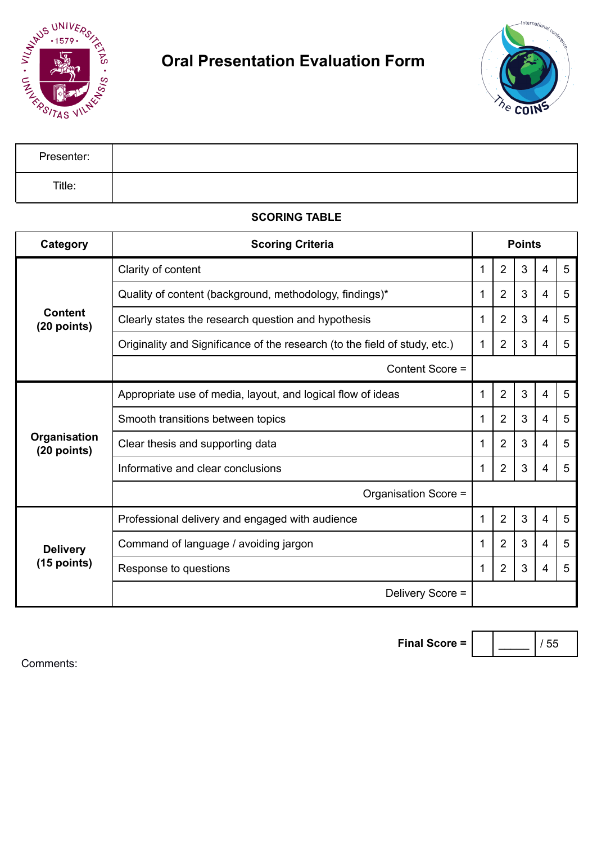



| Presenter: |  |
|------------|--|
| Title:     |  |

## **SCORING TABLE**

| Category                         | <b>Scoring Criteria</b>                                                    | <b>Points</b> |                |   |   |   |
|----------------------------------|----------------------------------------------------------------------------|---------------|----------------|---|---|---|
| <b>Content</b><br>$(20$ points)  | Clarity of content                                                         | 1             | $\overline{2}$ | 3 | 4 | 5 |
|                                  | Quality of content (background, methodology, findings)*                    | 1             | $\overline{2}$ | 3 | 4 | 5 |
|                                  | Clearly states the research question and hypothesis                        | 1             | $\overline{2}$ | 3 | 4 | 5 |
|                                  | Originality and Significance of the research (to the field of study, etc.) | 1             | $\overline{2}$ | 3 | 4 | 5 |
|                                  | Content Score =                                                            |               |                |   |   |   |
| Organisation<br>$(20$ points)    | Appropriate use of media, layout, and logical flow of ideas                | 1             | $\overline{2}$ | 3 | 4 | 5 |
|                                  | Smooth transitions between topics                                          | 1             | $\overline{2}$ | 3 | 4 | 5 |
|                                  | Clear thesis and supporting data                                           | 1             | 2              | 3 | 4 | 5 |
|                                  | Informative and clear conclusions                                          | 1             | $\overline{2}$ | 3 | 4 | 5 |
|                                  | Organisation Score =                                                       |               |                |   |   |   |
| <b>Delivery</b><br>$(15$ points) | Professional delivery and engaged with audience                            | 1             | $\overline{2}$ | 3 | 4 | 5 |
|                                  | Command of language / avoiding jargon                                      | 1             | 2              | 3 | 4 | 5 |
|                                  | Response to questions                                                      | 1             | $\overline{2}$ | 3 | 4 | 5 |
|                                  | Delivery Score =                                                           |               |                |   |   |   |

**Final Score =** \_\_\_\_\_ / 55

Comments: